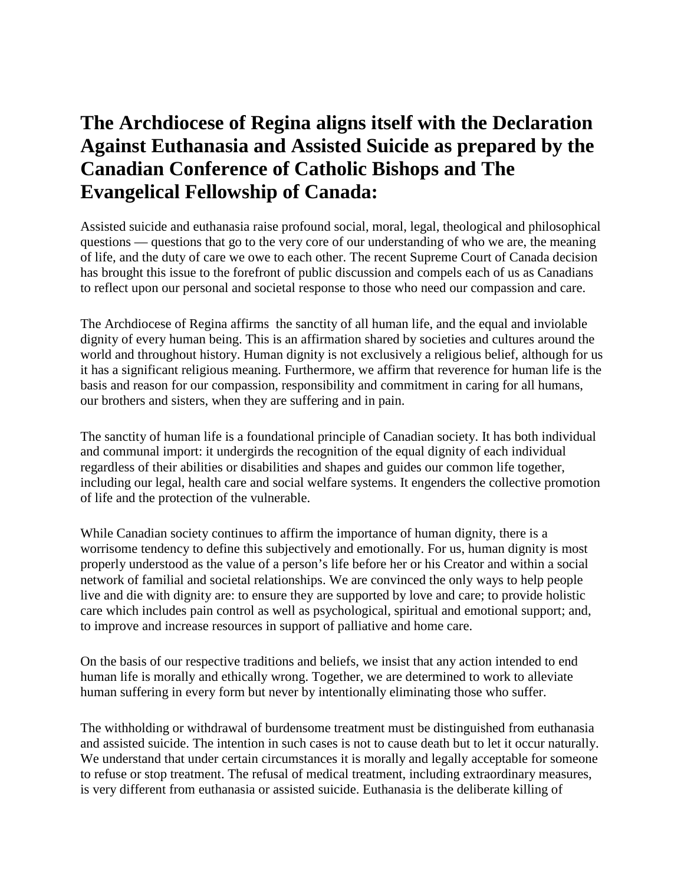## **The Archdiocese of Regina aligns itself with the Declaration Against Euthanasia and Assisted Suicide as prepared by the Canadian Conference of Catholic Bishops and The Evangelical Fellowship of Canada:**

Assisted suicide and euthanasia raise profound social, moral, legal, theological and philosophical questions — questions that go to the very core of our understanding of who we are, the meaning of life, and the duty of care we owe to each other. The recent Supreme Court of Canada decision has brought this issue to the forefront of public discussion and compels each of us as Canadians to reflect upon our personal and societal response to those who need our compassion and care.

The Archdiocese of Regina affirms the sanctity of all human life, and the equal and inviolable dignity of every human being. This is an affirmation shared by societies and cultures around the world and throughout history. Human dignity is not exclusively a religious belief, although for us it has a significant religious meaning. Furthermore, we affirm that reverence for human life is the basis and reason for our compassion, responsibility and commitment in caring for all humans, our brothers and sisters, when they are suffering and in pain.

The sanctity of human life is a foundational principle of Canadian society. It has both individual and communal import: it undergirds the recognition of the equal dignity of each individual regardless of their abilities or disabilities and shapes and guides our common life together, including our legal, health care and social welfare systems. It engenders the collective promotion of life and the protection of the vulnerable.

While Canadian society continues to affirm the importance of human dignity, there is a worrisome tendency to define this subjectively and emotionally. For us, human dignity is most properly understood as the value of a person's life before her or his Creator and within a social network of familial and societal relationships. We are convinced the only ways to help people live and die with dignity are: to ensure they are supported by love and care; to provide holistic care which includes pain control as well as psychological, spiritual and emotional support; and, to improve and increase resources in support of palliative and home care.

On the basis of our respective traditions and beliefs, we insist that any action intended to end human life is morally and ethically wrong. Together, we are determined to work to alleviate human suffering in every form but never by intentionally eliminating those who suffer.

The withholding or withdrawal of burdensome treatment must be distinguished from euthanasia and assisted suicide. The intention in such cases is not to cause death but to let it occur naturally. We understand that under certain circumstances it is morally and legally acceptable for someone to refuse or stop treatment. The refusal of medical treatment, including extraordinary measures, is very different from euthanasia or assisted suicide. Euthanasia is the deliberate killing of